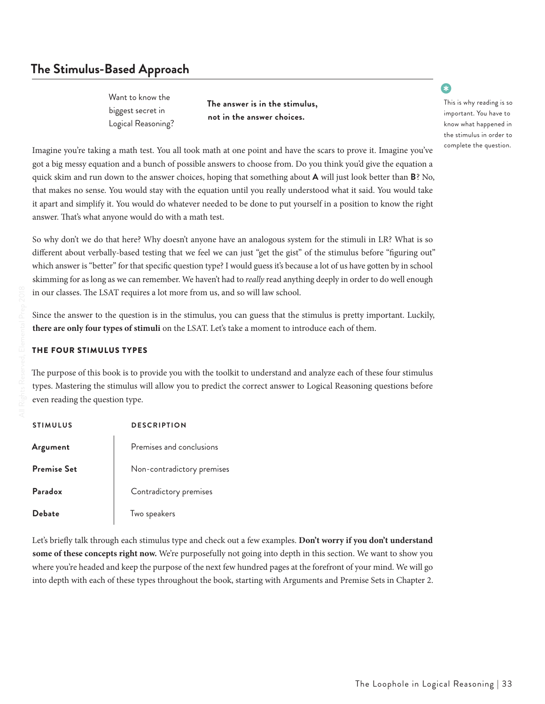# **The Stimulus-Based Approach**

**The answer is in the stimulus, not in the answer choices.**

•

This is why reading is so important. You have to know what happened in the stimulus in order to complete the question.

Imagine you're taking a math test. You all took math at one point and have the scars to prove it. Imagine you've got a big messy equation and a bunch of possible answers to choose from. Do you think you'd give the equation a quick skim and run down to the answer choices, hoping that something about **A** will just look better than **B**? No, that makes no sense. You would stay with the equation until you really understood what it said. You would take it apart and simplify it. You would do whatever needed to be done to put yourself in a position to know the right answer. That's what anyone would do with a math test.

So why don't we do that here? Why doesn't anyone have an analogous system for the stimuli in LR? What is so different about verbally-based testing that we feel we can just "get the gist" of the stimulus before "figuring out" which answer is "better" for that specific question type? I would guess it's because a lot of us have gotten by in school skimming for as long as we can remember. We haven't had to *really* read anything deeply in order to do well enough in our classes. The LSAT requires a lot more from us, and so will law school.

Since the answer to the question is in the stimulus, you can guess that the stimulus is pretty important. Luckily, **there are only four types of stimuli** on the LSAT. Let's take a moment to introduce each of them.

#### THE FOUR STIMULUS TYPES

The purpose of this book is to provide you with the toolkit to understand and analyze each of these four stimulus types. Mastering the stimulus will allow you to predict the correct answer to Logical Reasoning questions before even reading the question type.

| <b>STIMULUS</b>    | <b>DESCRIPTION</b>         |
|--------------------|----------------------------|
| Argument           | Premises and conclusions   |
| <b>Premise Set</b> | Non-contradictory premises |
| Paradox            | Contradictory premises     |
| <b>Debate</b>      | Two speakers               |

Let's briefly talk through each stimulus type and check out a few examples. **Don't worry if you don't understand**  some of these concepts right now. We're purposefully not going into depth in this section. We want to show you where you're headed and keep the purpose of the next few hundred pages at the forefront of your mind. We will go into depth with each of these types throughout the book, starting with Arguments and Premise Sets in Chapter 2.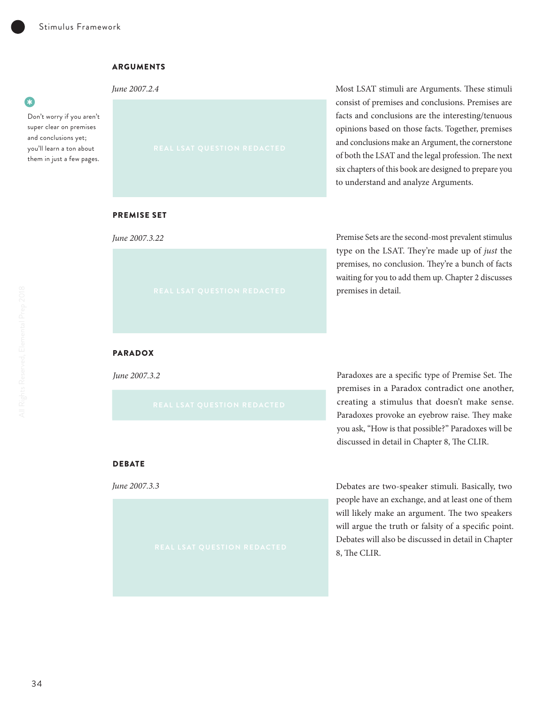#### ARGUMENTS

*June 2007.2.4*

#### $\bullet$ •

Don't worry if you aren't super clear on premises and conclusions yet; you'll learn a ton about them in just a few pages.



Most LSAT stimuli are Arguments. These stimuli consist of premises and conclusions. Premises are facts and conclusions are the interesting/tenuous opinions based on those facts. Together, premises and conclusions make an Argument, the cornerstone of both the LSAT and the legal profession. The next six chapters of this book are designed to prepare you to understand and analyze Arguments.

### PREMISE SET

*June 2007.3.22*

Premise Sets are the second-most prevalent stimulus type on the LSAT. They're made up of *just* the premises, no conclusion. They're a bunch of facts waiting for you to add them up. Chapter 2 discusses premises in detail.

### PARADOX

*June 2007.3.2*

Paradoxes are a specific type of Premise Set. The premises in a Paradox contradict one another, creating a stimulus that doesn't make sense. Paradoxes provoke an eyebrow raise. They make you ask, "How is that possible?" Paradoxes will be discussed in detail in Chapter 8, The CLIR.

#### **DEBATE**

*June 2007.3.3*

Debates are two-speaker stimuli. Basically, two people have an exchange, and at least one of them will likely make an argument. The two speakers will argue the truth or falsity of a specific point. Debates will also be discussed in detail in Chapter 8, The CLIR.